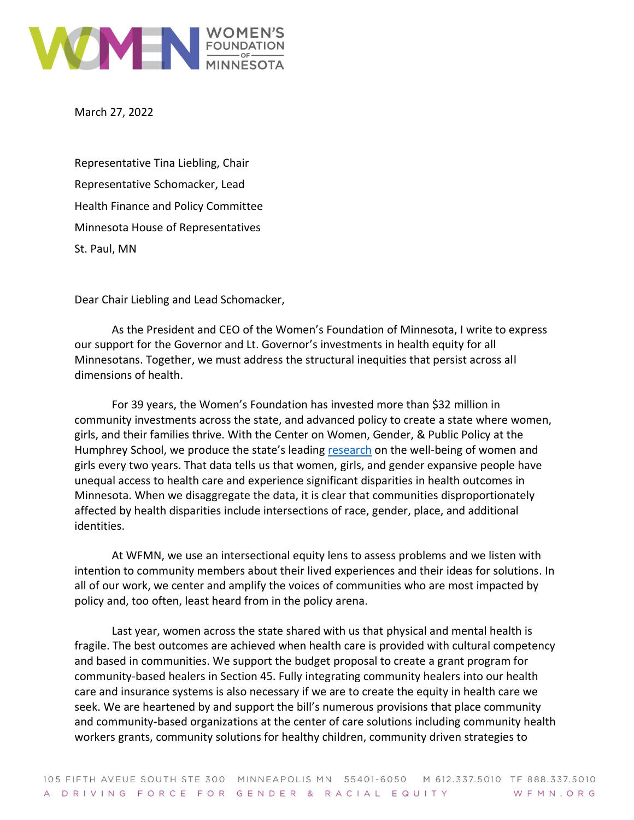

March 27, 2022

Representative Tina Liebling, Chair Representative Schomacker, Lead Health Finance and Policy Committee Minnesota House of Representatives St. Paul, MN

Dear Chair Liebling and Lead Schomacker,

As the President and CEO of the Women's Foundation of Minnesota, I write to express our support for the Governor and Lt. Governor's investments in health equity for all Minnesotans. Together, we must address the structural inequities that persist across all dimensions of health.

For 39 years, the Women's Foundation has invested more than \$32 million in community investments across the state, and advanced policy to create a state where women, girls, and their families thrive. With the Center on Women, Gender, & Public Policy at the Humphrey School, we produce the state's leading [research](https://5hmu22w0slizp30doyr8p14u-wpengine.netdna-ssl.com/wp-content/uploads/2022/03/WFMN-2022-Status-of-Women-Girls-in-MN.pdf) on the well-being of women and girls every two years. That data tells us that women, girls, and gender expansive people have unequal access to health care and experience significant disparities in health outcomes in Minnesota. When we disaggregate the data, it is clear that communities disproportionately affected by health disparities include intersections of race, gender, place, and additional identities.

At WFMN, we use an intersectional equity lens to assess problems and we listen with intention to community members about their lived experiences and their ideas for solutions. In all of our work, we center and amplify the voices of communities who are most impacted by policy and, too often, least heard from in the policy arena.

Last year, women across the state shared with us that physical and mental health is fragile. The best outcomes are achieved when health care is provided with cultural competency and based in communities. We support the budget proposal to create a grant program for community-based healers in Section 45. Fully integrating community healers into our health care and insurance systems is also necessary if we are to create the equity in health care we seek. We are heartened by and support the bill's numerous provisions that place community and community-based organizations at the center of care solutions including community health workers grants, community solutions for healthy children, community driven strategies to